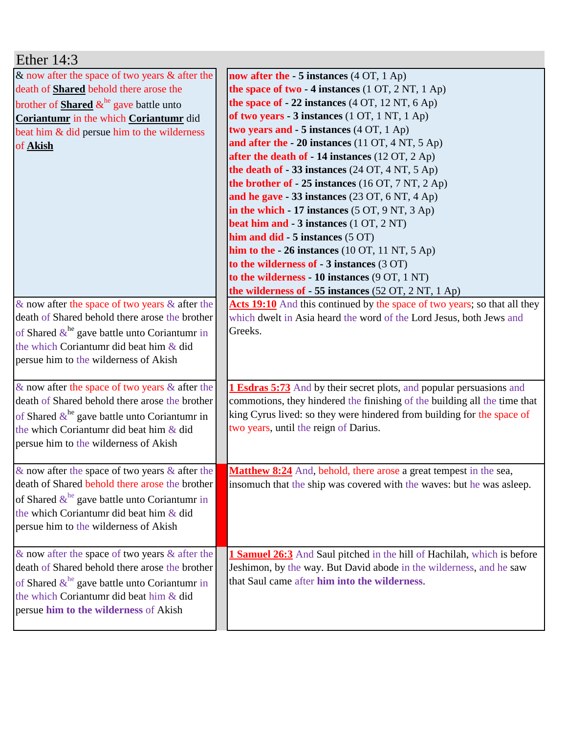| Ether $14:3$                                                                                                                                                                                                                                                              |                                                                                                                                                                                                                                                                                                                                                                                                                                                                                                                                                                                                                                                                                                                                                                                                                                                                                        |
|---------------------------------------------------------------------------------------------------------------------------------------------------------------------------------------------------------------------------------------------------------------------------|----------------------------------------------------------------------------------------------------------------------------------------------------------------------------------------------------------------------------------------------------------------------------------------------------------------------------------------------------------------------------------------------------------------------------------------------------------------------------------------------------------------------------------------------------------------------------------------------------------------------------------------------------------------------------------------------------------------------------------------------------------------------------------------------------------------------------------------------------------------------------------------|
| $\&$ now after the space of two years $\&$ after the<br>death of <b>Shared</b> behold there arose the<br>brother of <b>Shared</b> $\&b^{\text{he}}$ gave battle unto<br>Coriantumr in the which Coriantumr did<br>beat him & did persue him to the wilderness<br>of Akish | now after the $-5$ instances (4 OT, 1 Ap)<br>the space of two $-4$ instances (1 OT, 2 NT, 1 Ap)<br>the space of $-22$ instances (4 OT, 12 NT, 6 Ap)<br>of two years - 3 instances (1 OT, 1 NT, 1 Ap)<br>two years and - 5 instances (4 OT, 1 Ap)<br>and after the - 20 instances (11 OT, 4 NT, 5 Ap)<br>after the death of - 14 instances (12 OT, 2 Ap)<br>the death of $-33$ instances (24 OT, 4 NT, 5 Ap)<br>the brother of - 25 instances (16 OT, 7 NT, 2 Ap)<br>and he gave $-33$ instances (23 OT, 6 NT, 4 Ap)<br>in the which $-17$ instances (5 OT, 9 NT, 3 Ap)<br>beat him and - 3 instances (1 OT, 2 NT)<br>him and $did - 5$ instances $(5 \text{ OT})$<br>him to the $-26$ instances (10 OT, 11 NT, 5 Ap)<br>to the wilderness of $-3$ instances $(3 \text{ OT})$<br>to the wilderness - 10 instances (9 OT, 1 NT)<br>the wilderness of $-55$ instances (52 OT, 2 NT, 1 Ap) |
| $\&$ now after the space of two years $\&$ after the<br>death of Shared behold there arose the brother<br>of Shared $\&$ <sup>he</sup> gave battle unto Coriantumr in<br>the which Coriantumr did beat him & did<br>persue him to the wilderness of Akish                 | Acts 19:10 And this continued by the space of two years; so that all they<br>which dwelt in Asia heard the word of the Lord Jesus, both Jews and<br>Greeks.                                                                                                                                                                                                                                                                                                                                                                                                                                                                                                                                                                                                                                                                                                                            |
| $\&$ now after the space of two years $\&$ after the<br>death of Shared behold there arose the brother<br>of Shared $\&$ <sup>he</sup> gave battle unto Coriantumr in<br>the which Coriantumr did beat him & did<br>persue him to the wilderness of Akish                 | <b>1 Esdras 5:73</b> And by their secret plots, and popular persuasions and<br>commotions, they hindered the finishing of the building all the time that<br>king Cyrus lived: so they were hindered from building for the space of<br>two years, until the reign of Darius.                                                                                                                                                                                                                                                                                                                                                                                                                                                                                                                                                                                                            |
| $\&$ now after the space of two years $\&$ after the<br>death of Shared behold there arose the brother<br>of Shared $\&^{\text{he}}$ gave battle unto Coriantumr in<br>the which Coriantumr did beat him & did<br>persue him to the wilderness of Akish                   | <b>Matthew 8:24</b> And, behold, there arose a great tempest in the sea,<br>insomuch that the ship was covered with the waves: but he was asleep.                                                                                                                                                                                                                                                                                                                                                                                                                                                                                                                                                                                                                                                                                                                                      |
| $\&$ now after the space of two years $\&$ after the<br>death of Shared behold there arose the brother<br>of Shared $\&^{\text{he}}$ gave battle unto Coriantumr in<br>the which Coriantumr did beat him & did<br>persue him to the wilderness of Akish                   | 1 Samuel 26:3 And Saul pitched in the hill of Hachilah, which is before<br>Jeshimon, by the way. But David abode in the wilderness, and he saw<br>that Saul came after him into the wilderness.                                                                                                                                                                                                                                                                                                                                                                                                                                                                                                                                                                                                                                                                                        |